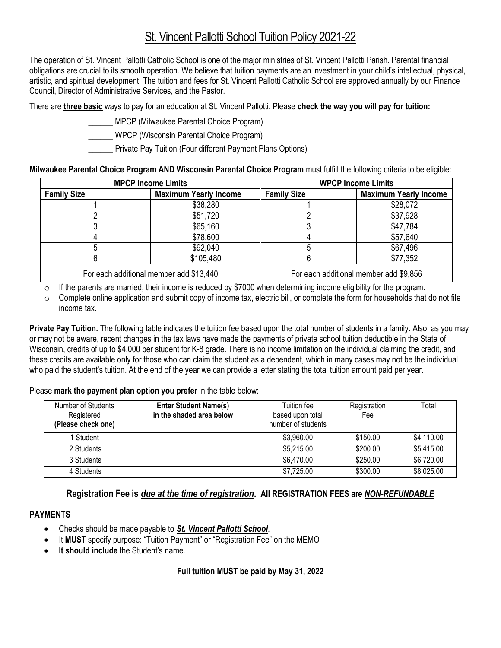# St. Vincent Pallotti School Tuition Policy 2021-22

The operation of St. Vincent Pallotti Catholic School is one of the major ministries of St. Vincent Pallotti Parish. Parental financial obligations are crucial to its smooth operation. We believe that tuition payments are an investment in your child's intellectual, physical, artistic, and spiritual development. The tuition and fees for St. Vincent Pallotti Catholic School are approved annually by our Finance Council, Director of Administrative Services, and the Pastor.

There are **three basic** ways to pay for an education at St. Vincent Pallotti. Please **check the way you will pay for tuition:**

- \_\_\_\_\_\_ MPCP (Milwaukee Parental Choice Program)
- \_\_\_\_\_\_ WPCP (Wisconsin Parental Choice Program)
- Private Pay Tuition (Four different Payment Plans Options)

#### **Milwaukee Parental Choice Program AND Wisconsin Parental Choice Program** must fulfill the following criteria to be eligible:

| <b>MPCP Income Limits</b>               |                              | <b>WPCP Income Limits</b>              |                              |  |
|-----------------------------------------|------------------------------|----------------------------------------|------------------------------|--|
| <b>Family Size</b>                      | <b>Maximum Yearly Income</b> | <b>Family Size</b>                     | <b>Maximum Yearly Income</b> |  |
|                                         | \$38,280                     |                                        | \$28,072                     |  |
|                                         | \$51,720                     |                                        | \$37,928                     |  |
|                                         | \$65,160                     |                                        | \$47,784                     |  |
|                                         | \$78,600                     |                                        | \$57,640                     |  |
|                                         | \$92,040                     |                                        | \$67,496                     |  |
|                                         | \$105,480                    |                                        | \$77,352                     |  |
| For each additional member add \$13,440 |                              | For each additional member add \$9,856 |                              |  |

 $\circ$  If the parents are married, their income is reduced by \$7000 when determining income eligibility for the program.

 $\circ$  Complete online application and submit copy of income tax, electric bill, or complete the form for households that do not file income tax.

**Private Pay Tuition.** The following table indicates the tuition fee based upon the total number of students in a family. Also, as you may or may not be aware, recent changes in the tax laws have made the payments of private school tuition deductible in the State of Wisconsin, credits of up to \$4,000 per student for K-8 grade. There is no income limitation on the individual claiming the credit, and these credits are available only for those who can claim the student as a dependent, which in many cases may not be the individual who paid the student's tuition. At the end of the year we can provide a letter stating the total tuition amount paid per year.

Please **mark the payment plan option you prefer** in the table below:

| Number of Students<br>Registered<br>(Please check one) | <b>Enter Student Name(s)</b><br>in the shaded area below | Tuition fee<br>based upon total<br>number of students | Registration<br>Fee | Total      |
|--------------------------------------------------------|----------------------------------------------------------|-------------------------------------------------------|---------------------|------------|
| 1 Student                                              |                                                          | \$3,960.00                                            | \$150.00            | \$4,110.00 |
| 2 Students                                             |                                                          | \$5,215.00                                            | \$200.00            | \$5,415.00 |
| 3 Students                                             |                                                          | \$6,470.00                                            | \$250.00            | \$6,720.00 |
| 4 Students                                             |                                                          | \$7,725.00                                            | \$300.00            | \$8,025.00 |

# **Registration Fee is** *due at the time of registration***. All REGISTRATION FEES are** *NON-REFUNDABLE*

## **PAYMENTS**

- Checks should be made payable to *St. Vincent Pallotti School*.
- It **MUST** specify purpose: "Tuition Payment" or "Registration Fee" on the MEMO
- **It should include** the Student's name.

## **Full tuition MUST be paid by May 31, 2022**